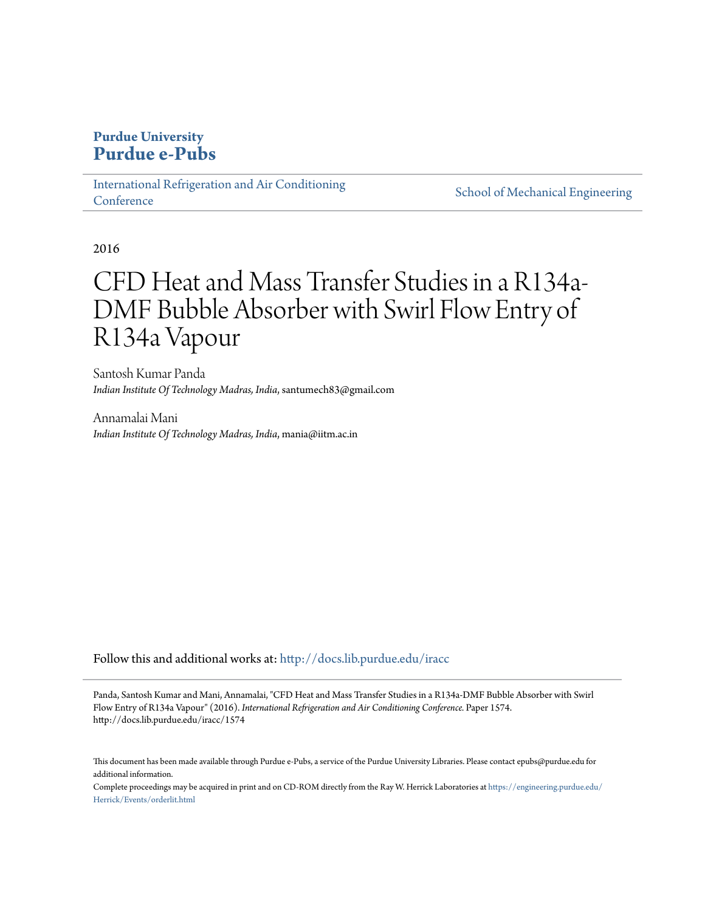# **Purdue University [Purdue e-Pubs](http://docs.lib.purdue.edu?utm_source=docs.lib.purdue.edu%2Firacc%2F1574&utm_medium=PDF&utm_campaign=PDFCoverPages)**

[International Refrigeration and Air Conditioning](http://docs.lib.purdue.edu/iracc?utm_source=docs.lib.purdue.edu%2Firacc%2F1574&utm_medium=PDF&utm_campaign=PDFCoverPages) **[Conference](http://docs.lib.purdue.edu/iracc?utm_source=docs.lib.purdue.edu%2Firacc%2F1574&utm_medium=PDF&utm_campaign=PDFCoverPages)** 

[School of Mechanical Engineering](http://docs.lib.purdue.edu/me?utm_source=docs.lib.purdue.edu%2Firacc%2F1574&utm_medium=PDF&utm_campaign=PDFCoverPages)

2016

# CFD Heat and Mass Transfer Studies in a R134a-DMF Bubble Absorber with Swirl Flow Entry of R134a Vapour

Santosh Kumar Panda *Indian Institute Of Technology Madras, India*, santumech83@gmail.com

Annamalai Mani *Indian Institute Of Technology Madras, India*, mania@iitm.ac.in

Follow this and additional works at: [http://docs.lib.purdue.edu/iracc](http://docs.lib.purdue.edu/iracc?utm_source=docs.lib.purdue.edu%2Firacc%2F1574&utm_medium=PDF&utm_campaign=PDFCoverPages)

Panda, Santosh Kumar and Mani, Annamalai, "CFD Heat and Mass Transfer Studies in a R134a-DMF Bubble Absorber with Swirl Flow Entry of R134a Vapour" (2016). *International Refrigeration and Air Conditioning Conference.* Paper 1574. http://docs.lib.purdue.edu/iracc/1574

This document has been made available through Purdue e-Pubs, a service of the Purdue University Libraries. Please contact epubs@purdue.edu for additional information.

Complete proceedings may be acquired in print and on CD-ROM directly from the Ray W. Herrick Laboratories at [https://engineering.purdue.edu/](https://engineering.purdue.edu/Herrick/Events/orderlit.html) [Herrick/Events/orderlit.html](https://engineering.purdue.edu/Herrick/Events/orderlit.html)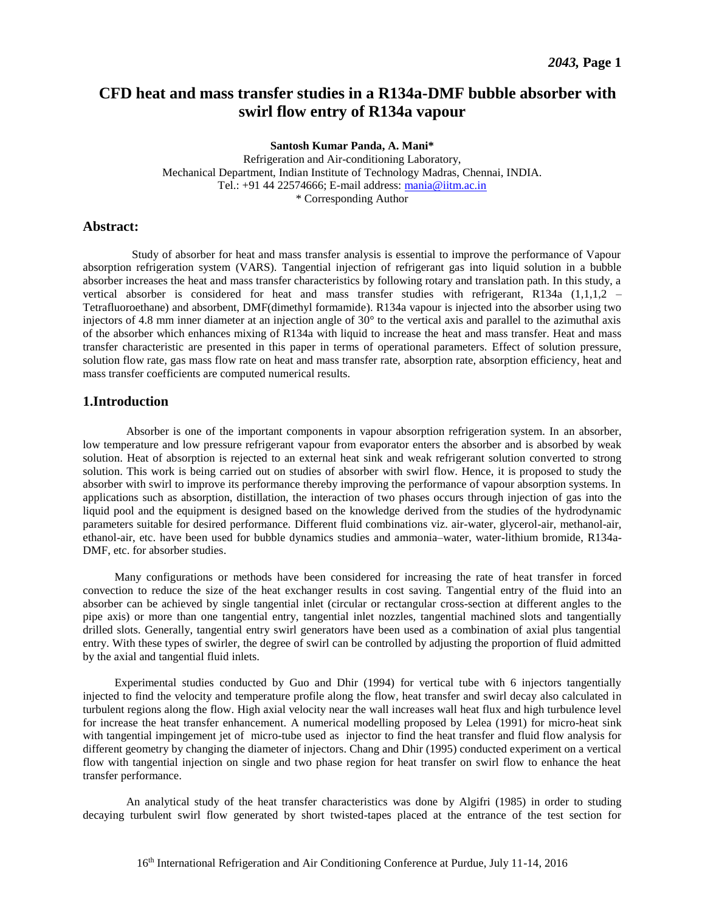# **CFD heat and mass transfer studies in a R134a-DMF bubble absorber with swirl flow entry of R134a vapour**

#### **Santosh Kumar Panda, A. Mani\***

Refrigeration and Air-conditioning Laboratory, Mechanical Department, Indian Institute of Technology Madras, Chennai, INDIA. Tel.: +91 44 22574666; E-mail address: [mania@iitm.ac.in](mailto:mania@iitm.ac.in) \* Corresponding Author

# **Abstract:**

 Study of absorber for heat and mass transfer analysis is essential to improve the performance of Vapour absorption refrigeration system (VARS). Tangential injection of refrigerant gas into liquid solution in a bubble absorber increases the heat and mass transfer characteristics by following rotary and translation path. In this study, a vertical absorber is considered for heat and mass transfer studies with refrigerant, R134a (1,1,1,2 – Tetrafluoroethane) and absorbent, DMF(dimethyl formamide). R134a vapour is injected into the absorber using two injectors of 4.8 mm inner diameter at an injection angle of 30° to the vertical axis and parallel to the azimuthal axis of the absorber which enhances mixing of R134a with liquid to increase the heat and mass transfer. Heat and mass transfer characteristic are presented in this paper in terms of operational parameters. Effect of solution pressure, solution flow rate, gas mass flow rate on heat and mass transfer rate, absorption rate, absorption efficiency, heat and mass transfer coefficients are computed numerical results.

### **1.Introduction**

 Absorber is one of the important components in vapour absorption refrigeration system. In an absorber, low temperature and low pressure refrigerant vapour from evaporator enters the absorber and is absorbed by weak solution. Heat of absorption is rejected to an external heat sink and weak refrigerant solution converted to strong solution. This work is being carried out on studies of absorber with swirl flow. Hence, it is proposed to study the absorber with swirl to improve its performance thereby improving the performance of vapour absorption systems. In applications such as absorption, distillation, the interaction of two phases occurs through injection of gas into the liquid pool and the equipment is designed based on the knowledge derived from the studies of the hydrodynamic parameters suitable for desired performance. Different fluid combinations viz. air-water, glycerol-air, methanol-air, ethanol-air, etc. have been used for bubble dynamics studies and ammonia–water, water-lithium bromide, R134a-DMF, etc. for absorber studies.

 Many configurations or methods have been considered for increasing the rate of heat transfer in forced convection to reduce the size of the heat exchanger results in cost saving. Tangential entry of the fluid into an absorber can be achieved by single tangential inlet (circular or rectangular cross-section at different angles to the pipe axis) or more than one tangential entry, tangential inlet nozzles, tangential machined slots and tangentially drilled slots. Generally, tangential entry swirl generators have been used as a combination of axial plus tangential entry. With these types of swirler, the degree of swirl can be controlled by adjusting the proportion of fluid admitted by the axial and tangential fluid inlets.

 Experimental studies conducted by Guo and Dhir (1994) for vertical tube with 6 injectors tangentially injected to find the velocity and temperature profile along the flow, heat transfer and swirl decay also calculated in turbulent regions along the flow. High axial velocity near the wall increases wall heat flux and high turbulence level for increase the heat transfer enhancement. A numerical modelling proposed by Lelea (1991) for micro-heat sink with tangential impingement jet of micro-tube used as injector to find the heat transfer and fluid flow analysis for different geometry by changing the diameter of injectors. Chang and Dhir (1995) conducted experiment on a vertical flow with tangential injection on single and two phase region for heat transfer on swirl flow to enhance the heat transfer performance.

 An analytical study of the heat transfer characteristics was done by Algifri (1985) in order to studing decaying turbulent swirl flow generated by short twisted-tapes placed at the entrance of the test section for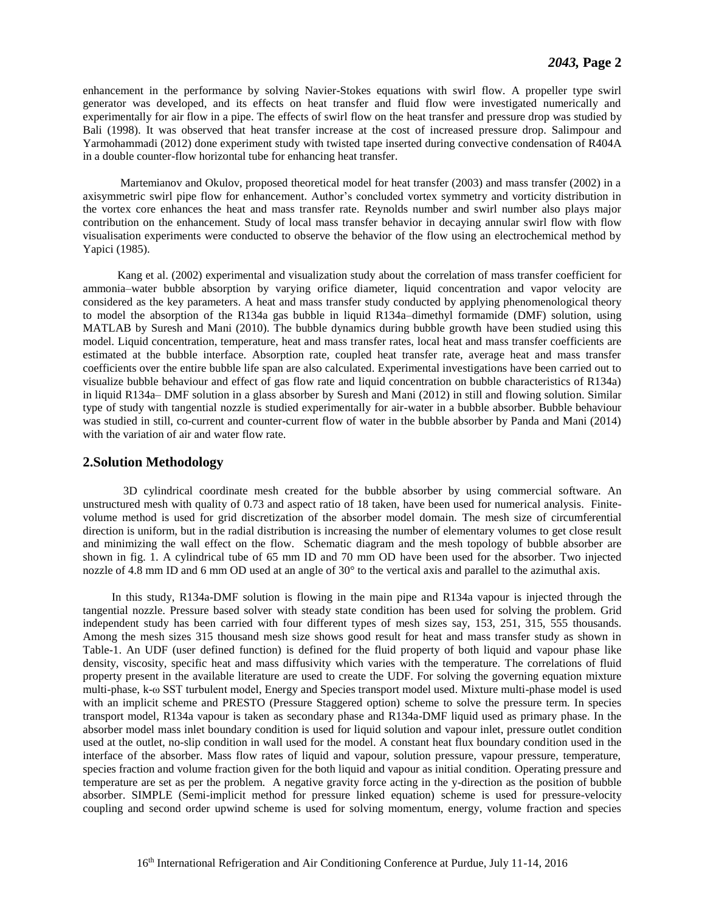enhancement in the performance by solving Navier-Stokes equations with swirl flow. A propeller type swirl generator was developed, and its effects on heat transfer and fluid flow were investigated numerically and experimentally for air flow in a pipe. The effects of swirl flow on the heat transfer and pressure drop was studied by Bali (1998). It was observed that heat transfer increase at the cost of increased pressure drop. Salimpour and Yarmohammadi (2012) done experiment study with twisted tape inserted during convective condensation of R404A in a double counter-flow horizontal tube for enhancing heat transfer.

 Martemianov and Okulov, proposed theoretical model for heat transfer (2003) and mass transfer (2002) in a axisymmetric swirl pipe flow for enhancement. Author's concluded vortex symmetry and vorticity distribution in the vortex core enhances the heat and mass transfer rate. Reynolds number and swirl number also plays major contribution on the enhancement. Study of local mass transfer behavior in decaying annular swirl flow with flow visualisation experiments were conducted to observe the behavior of the flow using an electrochemical method by Yapici (1985).

 Kang et al. (2002) experimental and visualization study about the correlation of mass transfer coefficient for ammonia–water bubble absorption by varying orifice diameter, liquid concentration and vapor velocity are considered as the key parameters. A heat and mass transfer study conducted by applying phenomenological theory to model the absorption of the R134a gas bubble in liquid R134a–dimethyl formamide (DMF) solution, using MATLAB by Suresh and Mani (2010). The bubble dynamics during bubble growth have been studied using this model. Liquid concentration, temperature, heat and mass transfer rates, local heat and mass transfer coefficients are estimated at the bubble interface. Absorption rate, coupled heat transfer rate, average heat and mass transfer coefficients over the entire bubble life span are also calculated. Experimental investigations have been carried out to visualize bubble behaviour and effect of gas flow rate and liquid concentration on bubble characteristics of R134a) in liquid R134a– DMF solution in a glass absorber by Suresh and Mani (2012) in still and flowing solution. Similar type of study with tangential nozzle is studied experimentally for air-water in a bubble absorber. Bubble behaviour was studied in still, co-current and counter-current flow of water in the bubble absorber by Panda and Mani (2014) with the variation of air and water flow rate.

#### **2.Solution Methodology**

 3D cylindrical coordinate mesh created for the bubble absorber by using commercial software. An unstructured mesh with quality of 0.73 and aspect ratio of 18 taken, have been used for numerical analysis. Finitevolume method is used for grid discretization of the absorber model domain. The mesh size of circumferential direction is uniform, but in the radial distribution is increasing the number of elementary volumes to get close result and minimizing the wall effect on the flow. Schematic diagram and the mesh topology of bubble absorber are shown in fig. 1. A cylindrical tube of 65 mm ID and 70 mm OD have been used for the absorber. Two injected nozzle of 4.8 mm ID and 6 mm OD used at an angle of 30° to the vertical axis and parallel to the azimuthal axis.

 In this study, R134a-DMF solution is flowing in the main pipe and R134a vapour is injected through the tangential nozzle. Pressure based solver with steady state condition has been used for solving the problem. Grid independent study has been carried with four different types of mesh sizes say, 153, 251, 315, 555 thousands. Among the mesh sizes 315 thousand mesh size shows good result for heat and mass transfer study as shown in Table-1. An UDF (user defined function) is defined for the fluid property of both liquid and vapour phase like density, viscosity, specific heat and mass diffusivity which varies with the temperature. The correlations of fluid property present in the available literature are used to create the UDF. For solving the governing equation mixture multi-phase, k-ω SST turbulent model, Energy and Species transport model used. Mixture multi-phase model is used with an implicit scheme and PRESTO (Pressure Staggered option) scheme to solve the pressure term. In species transport model, R134a vapour is taken as secondary phase and R134a-DMF liquid used as primary phase. In the absorber model mass inlet boundary condition is used for liquid solution and vapour inlet, pressure outlet condition used at the outlet, no-slip condition in wall used for the model. A constant heat flux boundary condition used in the interface of the absorber. Mass flow rates of liquid and vapour, solution pressure, vapour pressure, temperature, species fraction and volume fraction given for the both liquid and vapour as initial condition. Operating pressure and temperature are set as per the problem. A negative gravity force acting in the y-direction as the position of bubble absorber. SIMPLE (Semi-implicit method for pressure linked equation) scheme is used for pressure-velocity coupling and second order upwind scheme is used for solving momentum, energy, volume fraction and species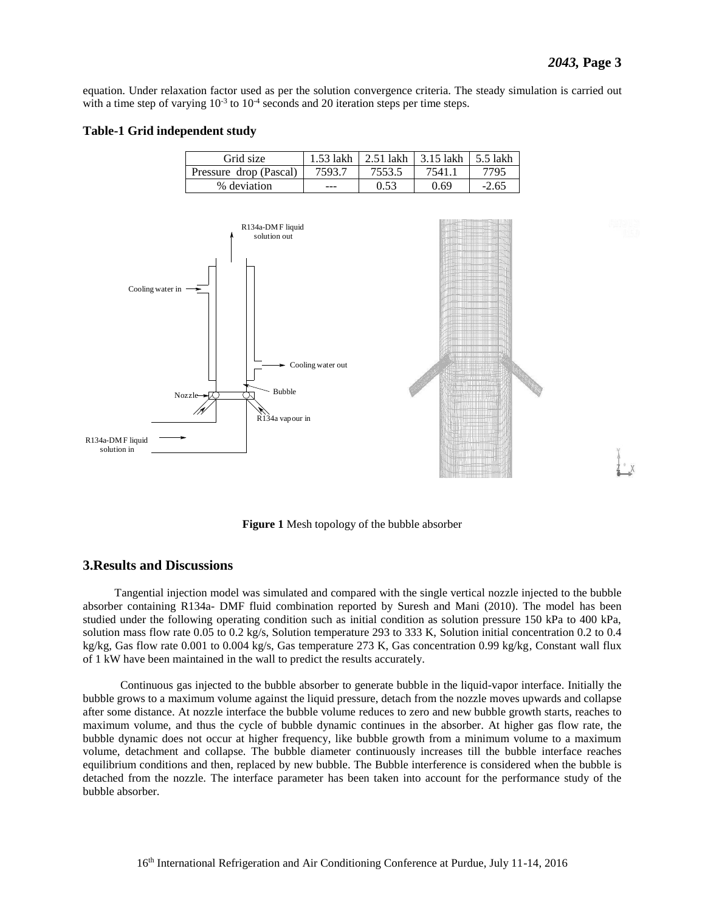equation. Under relaxation factor used as per the solution convergence criteria. The steady simulation is carried out with a time step of varying  $10^{-3}$  to  $10^{-4}$  seconds and 20 iteration steps per time steps.

#### **Table-1 Grid independent study**

| Grid size              | 1.53 lakh | 2.51 lakh | $\pm$ 3.15 lakh | 5.5 lakh |
|------------------------|-----------|-----------|-----------------|----------|
| Pressure drop (Pascal) | 7593.7    | 7553.5    | 7541.           | 7795     |
| % deviation            |           | 0.53      | 0.69            | $-2.65$  |



**Figure 1** Mesh topology of the bubble absorber

# **3.Results and Discussions**

 Tangential injection model was simulated and compared with the single vertical nozzle injected to the bubble absorber containing R134a- DMF fluid combination reported by Suresh and Mani (2010). The model has been studied under the following operating condition such as initial condition as solution pressure 150 kPa to 400 kPa, solution mass flow rate 0.05 to 0.2 kg/s, Solution temperature 293 to 333 K, Solution initial concentration 0.2 to 0.4 kg/kg, Gas flow rate 0.001 to 0.004 kg/s, Gas temperature 273 K, Gas concentration 0.99 kg/kg, Constant wall flux of 1 kW have been maintained in the wall to predict the results accurately.

 Continuous gas injected to the bubble absorber to generate bubble in the liquid-vapor interface. Initially the bubble grows to a maximum volume against the liquid pressure, detach from the nozzle moves upwards and collapse after some distance. At nozzle interface the bubble volume reduces to zero and new bubble growth starts, reaches to maximum volume, and thus the cycle of bubble dynamic continues in the absorber. At higher gas flow rate, the bubble dynamic does not occur at higher frequency, like bubble growth from a minimum volume to a maximum volume, detachment and collapse. The bubble diameter continuously increases till the bubble interface reaches equilibrium conditions and then, replaced by new bubble. The Bubble interference is considered when the bubble is detached from the nozzle. The interface parameter has been taken into account for the performance study of the bubble absorber.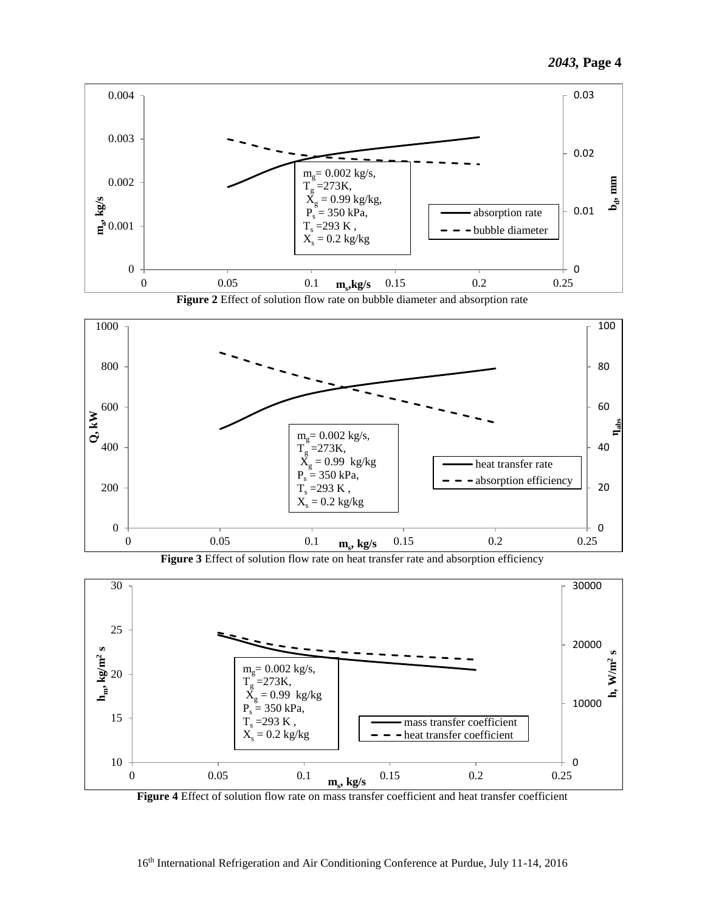

**Figure 2** Effect of solution flow rate on bubble diameter and absorption rate



**Figure 3** Effect of solution flow rate on heat transfer rate and absorption efficiency



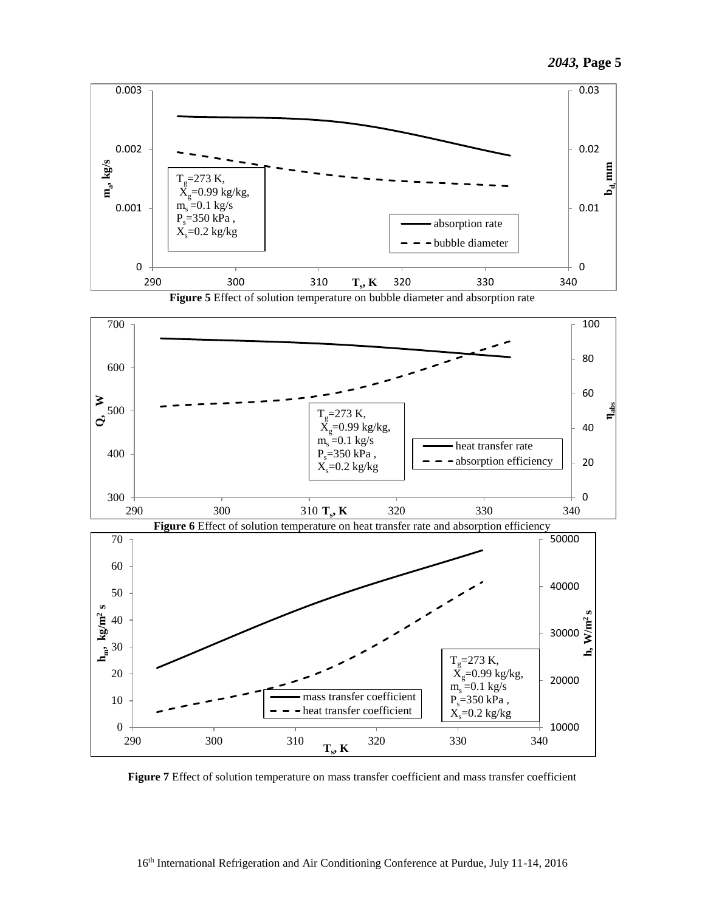

**Figure 5** Effect of solution temperature on bubble diameter and absorption rate



**Figure 7** Effect of solution temperature on mass transfer coefficient and mass transfer coefficient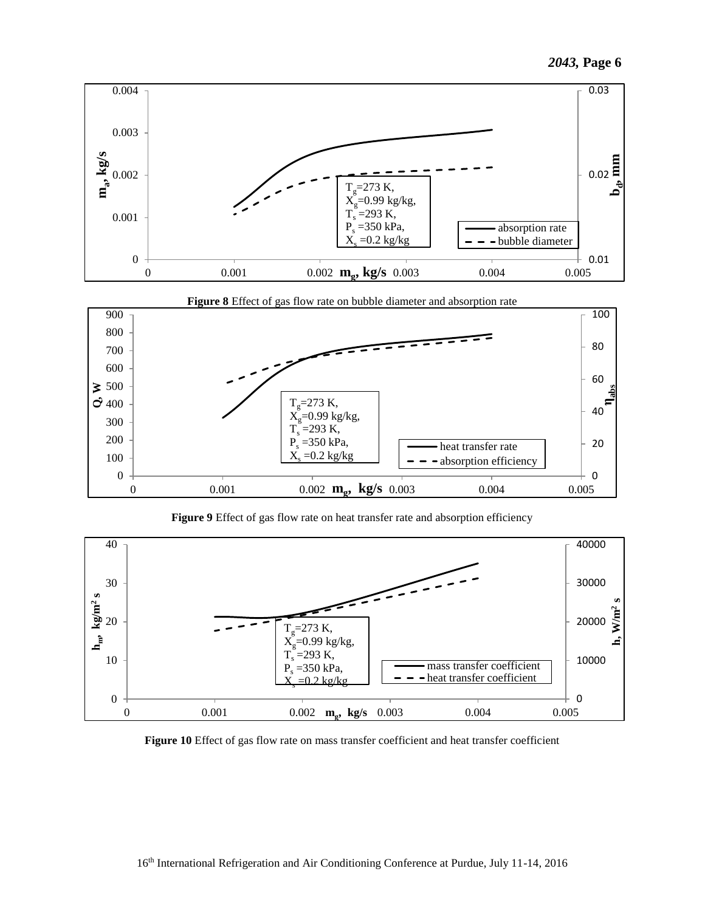



**Figure 9** Effect of gas flow rate on heat transfer rate and absorption efficiency



**Figure 10** Effect of gas flow rate on mass transfer coefficient and heat transfer coefficient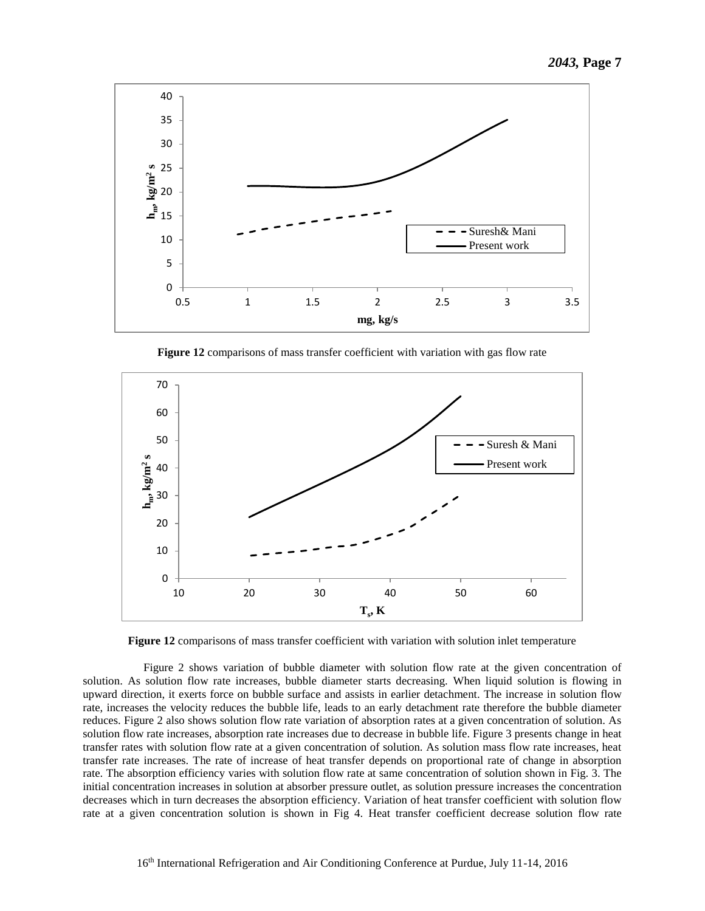

**Figure 12** comparisons of mass transfer coefficient with variation with gas flow rate



**Figure 12** comparisons of mass transfer coefficient with variation with solution inlet temperature

 Figure 2 shows variation of bubble diameter with solution flow rate at the given concentration of solution. As solution flow rate increases, bubble diameter starts decreasing. When liquid solution is flowing in upward direction, it exerts force on bubble surface and assists in earlier detachment. The increase in solution flow rate, increases the velocity reduces the bubble life, leads to an early detachment rate therefore the bubble diameter reduces. Figure 2 also shows solution flow rate variation of absorption rates at a given concentration of solution. As solution flow rate increases, absorption rate increases due to decrease in bubble life. Figure 3 presents change in heat transfer rates with solution flow rate at a given concentration of solution. As solution mass flow rate increases, heat transfer rate increases. The rate of increase of heat transfer depends on proportional rate of change in absorption rate. The absorption efficiency varies with solution flow rate at same concentration of solution shown in Fig. 3. The initial concentration increases in solution at absorber pressure outlet, as solution pressure increases the concentration decreases which in turn decreases the absorption efficiency. Variation of heat transfer coefficient with solution flow rate at a given concentration solution is shown in Fig 4. Heat transfer coefficient decrease solution flow rate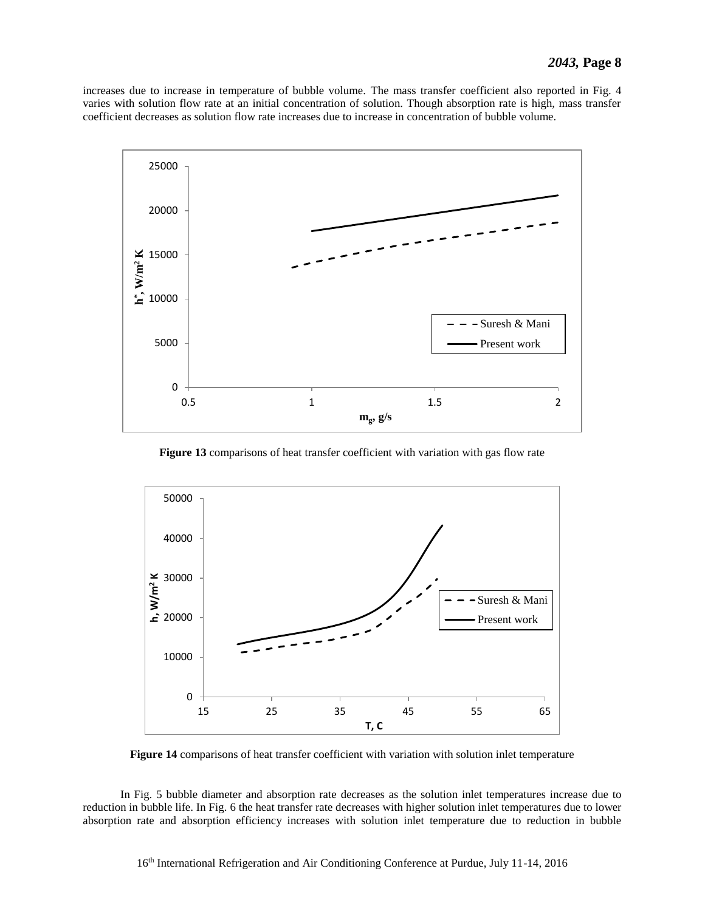increases due to increase in temperature of bubble volume. The mass transfer coefficient also reported in Fig. 4 varies with solution flow rate at an initial concentration of solution. Though absorption rate is high, mass transfer coefficient decreases as solution flow rate increases due to increase in concentration of bubble volume.



**Figure 13** comparisons of heat transfer coefficient with variation with gas flow rate



**Figure 14** comparisons of heat transfer coefficient with variation with solution inlet temperature

 In Fig. 5 bubble diameter and absorption rate decreases as the solution inlet temperatures increase due to reduction in bubble life. In Fig. 6 the heat transfer rate decreases with higher solution inlet temperatures due to lower absorption rate and absorption efficiency increases with solution inlet temperature due to reduction in bubble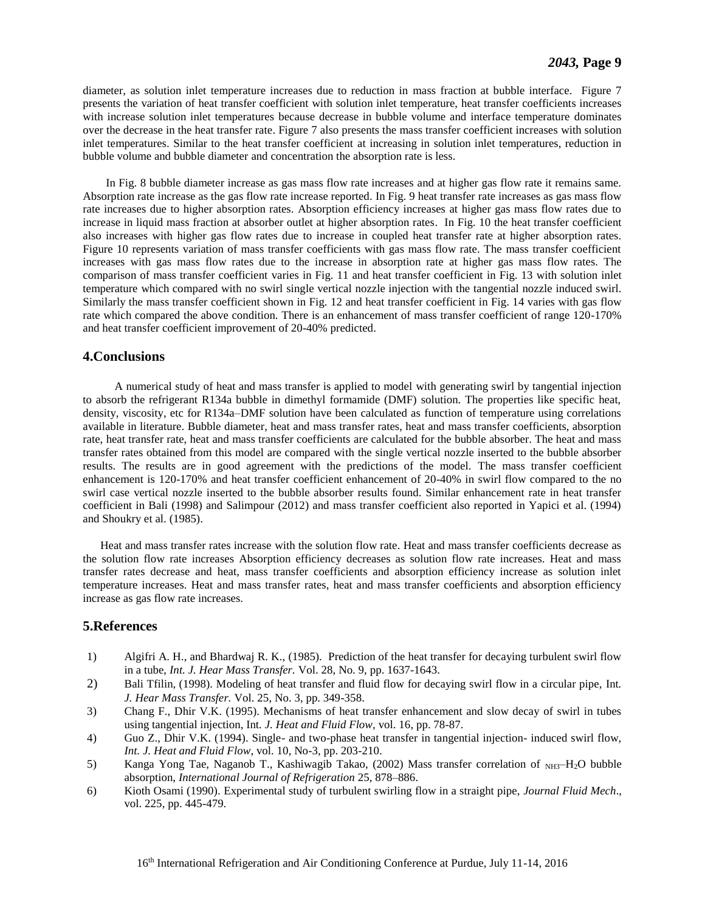diameter, as solution inlet temperature increases due to reduction in mass fraction at bubble interface. Figure 7 presents the variation of heat transfer coefficient with solution inlet temperature, heat transfer coefficients increases with increase solution inlet temperatures because decrease in bubble volume and interface temperature dominates over the decrease in the heat transfer rate. Figure 7 also presents the mass transfer coefficient increases with solution inlet temperatures. Similar to the heat transfer coefficient at increasing in solution inlet temperatures, reduction in bubble volume and bubble diameter and concentration the absorption rate is less.

 In Fig. 8 bubble diameter increase as gas mass flow rate increases and at higher gas flow rate it remains same. Absorption rate increase as the gas flow rate increase reported. In Fig. 9 heat transfer rate increases as gas mass flow rate increases due to higher absorption rates. Absorption efficiency increases at higher gas mass flow rates due to increase in liquid mass fraction at absorber outlet at higher absorption rates. In Fig. 10 the heat transfer coefficient also increases with higher gas flow rates due to increase in coupled heat transfer rate at higher absorption rates. Figure 10 represents variation of mass transfer coefficients with gas mass flow rate. The mass transfer coefficient increases with gas mass flow rates due to the increase in absorption rate at higher gas mass flow rates. The comparison of mass transfer coefficient varies in Fig. 11 and heat transfer coefficient in Fig. 13 with solution inlet temperature which compared with no swirl single vertical nozzle injection with the tangential nozzle induced swirl. Similarly the mass transfer coefficient shown in Fig. 12 and heat transfer coefficient in Fig. 14 varies with gas flow rate which compared the above condition. There is an enhancement of mass transfer coefficient of range 120-170% and heat transfer coefficient improvement of 20-40% predicted.

#### **4.Conclusions**

 A numerical study of heat and mass transfer is applied to model with generating swirl by tangential injection to absorb the refrigerant R134a bubble in dimethyl formamide (DMF) solution. The properties like specific heat, density, viscosity, etc for R134a–DMF solution have been calculated as function of temperature using correlations available in literature. Bubble diameter, heat and mass transfer rates, heat and mass transfer coefficients, absorption rate, heat transfer rate, heat and mass transfer coefficients are calculated for the bubble absorber. The heat and mass transfer rates obtained from this model are compared with the single vertical nozzle inserted to the bubble absorber results. The results are in good agreement with the predictions of the model. The mass transfer coefficient enhancement is 120-170% and heat transfer coefficient enhancement of 20-40% in swirl flow compared to the no swirl case vertical nozzle inserted to the bubble absorber results found. Similar enhancement rate in heat transfer coefficient in Bali (1998) and Salimpour (2012) and mass transfer coefficient also reported in Yapici et al. (1994) and Shoukry et al. (1985).

 Heat and mass transfer rates increase with the solution flow rate. Heat and mass transfer coefficients decrease as the solution flow rate increases Absorption efficiency decreases as solution flow rate increases. Heat and mass transfer rates decrease and heat, mass transfer coefficients and absorption efficiency increase as solution inlet temperature increases. Heat and mass transfer rates, heat and mass transfer coefficients and absorption efficiency increase as gas flow rate increases.

# **5.References**

- 1) Algifri A. H., and Bhardwaj R. K., (1985). Prediction of the heat transfer for decaying turbulent swirl flow in a tube, *Int. J. Hear Mass Transfer.* Vol. 28, No. 9, pp. 1637-1643.
- 2) Bali Tfilin, (1998). Modeling of heat transfer and fluid flow for decaying swirl flow in a circular pipe, Int*. J. Hear Mass Transfer.* Vol. 25, No. 3, pp. 349-358.
- 3) Chang F., Dhir V.K. (1995). Mechanisms of heat transfer enhancement and slow decay of swirl in tubes using tangential injection, Int*. J. Heat and Fluid Flow,* vol. 16, pp. 78-87.
- 4) Guo Z., Dhir V.K. (1994). Single- and two-phase heat transfer in tangential injection- induced swirl flow, *Int. J. Heat and Fluid Flow*, vol. 10, No-3, pp. 203-210.
- 5) Kanga Yong Tae, Naganob T., Kashiwagib Takao, (2002) Mass transfer correlation of <sub>NH3</sub>–H<sub>2</sub>O bubble absorption, *International Journal of Refrigeration* 25, 878–886.
- 6) Kioth Osami (1990). Experimental study of turbulent swirling flow in a straight pipe, *Journal Fluid Mech*., vol. 225, pp. 445-479.